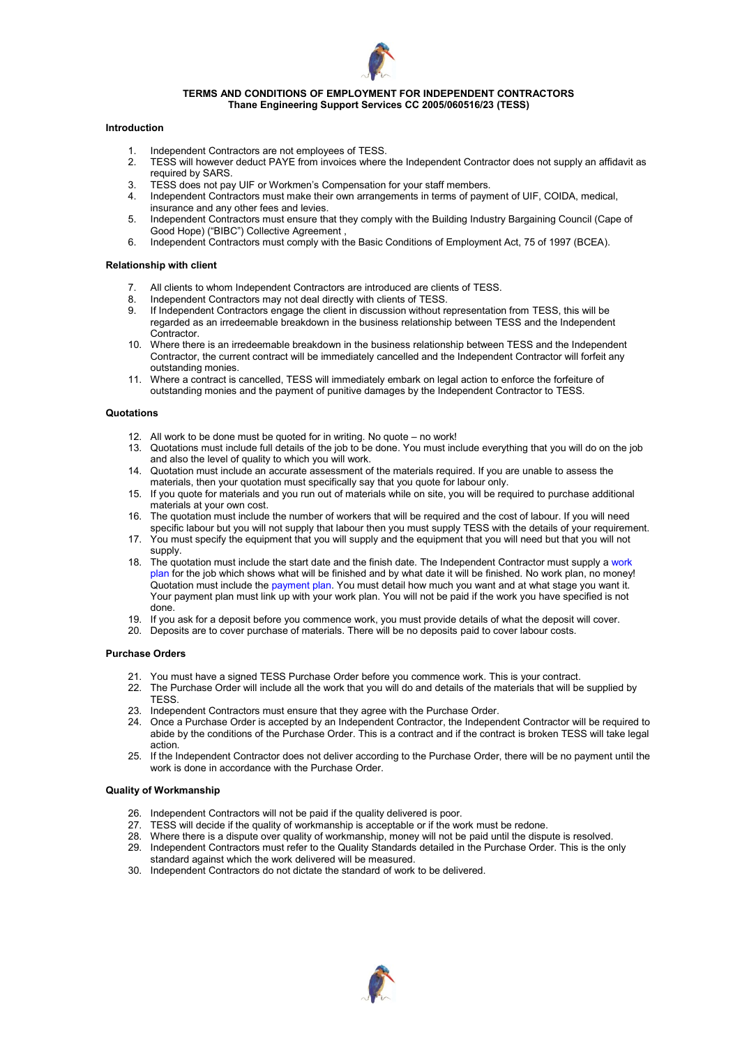

### **TERMS AND CONDITIONS OF EMPLOYMENT FOR INDEPENDENT CONTRACTORS Thane Engineering Support Services CC 2005/060516/23 (TESS)**

### **Introduction**

- 1. Independent Contractors are not employees of TESS.
- 2. TESS will however deduct PAYE from invoices where the Independent Contractor does not supply an affidavit as required by SARS.
- 3. TESS does not pay UIF or Workmen's Compensation for your staff members.
- 4. Independent Contractors must make their own arrangements in terms of payment of UIF, COIDA, medical, insurance and any other fees and levies.
- 5. Independent Contractors must ensure that they comply with the Building Industry Bargaining Council (Cape of Good Hope) ("BIBC") Collective Agreement ,
- 6. Independent Contractors must comply with the Basic Conditions of Employment Act, 75 of 1997 (BCEA).

# **Relationship with client**

- 7. All clients to whom Independent Contractors are introduced are clients of TESS.
- 8. Independent Contractors may not deal directly with clients of TESS.<br>9. If Independent Contractors engage the client in discussion without r
- 9. If Independent Contractors engage the client in discussion without representation from TESS, this will be regarded as an irredeemable breakdown in the business relationship between TESS and the Independent Contractor.
- 10. Where there is an irredeemable breakdown in the business relationship between TESS and the Independent Contractor, the current contract will be immediately cancelled and the Independent Contractor will forfeit any outstanding monies.
- 11. Where a contract is cancelled, TESS will immediately embark on legal action to enforce the forfeiture of outstanding monies and the payment of punitive damages by the Independent Contractor to TESS.

### **Quotations**

- 12. All work to be done must be quoted for in writing. No quote no work!
- 13. Quotations must include full details of the job to be done. You must include everything that you will do on the job and also the level of quality to which you will work.
- 14. Quotation must include an accurate assessment of the materials required. If you are unable to assess the materials, then your quotation must specifically say that you quote for labour only.
- 15. If you quote for materials and you run out of materials while on site, you will be required to purchase additional materials at your own cost.
- 16. The quotation must include the number of workers that will be required and the cost of labour. If you will need specific labour but you will not supply that labour then you must supply TESS with the details of your requirement.
- 17. You must specify the equipment that you will supply and the equipment that you will need but that you will not supply.
- 18. The quotation must include the start date and the finish date. The Independent Contractor must supply a work plan for the job which shows what will be finished and by what date it will be finished. No work plan, no money! Quotation must include the payment plan. You must detail how much you want and at what stage you want it. Your payment plan must link up with your work plan. You will not be paid if the work you have specified is not done.
- 19. If you ask for a deposit before you commence work, you must provide details of what the deposit will cover.
- 20. Deposits are to cover purchase of materials. There will be no deposits paid to cover labour costs.

### **Purchase Orders**

- 21. You must have a signed TESS Purchase Order before you commence work. This is your contract.
- 22. The Purchase Order will include all the work that you will do and details of the materials that will be supplied by **TESS**
- 23. Independent Contractors must ensure that they agree with the Purchase Order.
- 24. Once a Purchase Order is accepted by an Independent Contractor, the Independent Contractor will be required to abide by the conditions of the Purchase Order. This is a contract and if the contract is broken TESS will take legal action.
- 25. If the Independent Contractor does not deliver according to the Purchase Order, there will be no payment until the work is done in accordance with the Purchase Order.

### **Quality of Workmanship**

- 26. Independent Contractors will not be paid if the quality delivered is poor.
- 27. TESS will decide if the quality of workmanship is acceptable or if the work must be redone.
- 28. Where there is a dispute over quality of workmanship, money will not be paid until the dispute is resolved.
- 29. Independent Contractors must refer to the Quality Standards detailed in the Purchase Order. This is the only standard against which the work delivered will be measured.
- 30. Independent Contractors do not dictate the standard of work to be delivered.